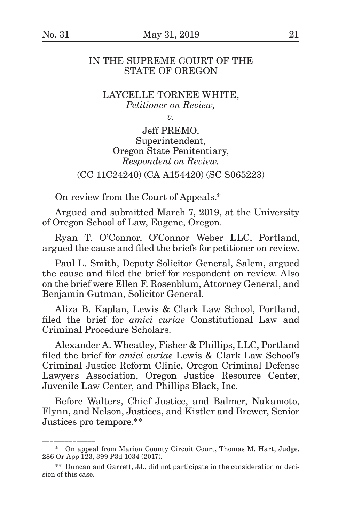\_\_\_\_\_\_\_\_\_\_\_\_\_\_\_\_\_\_\_

## IN THE SUPREME COURT OF THE STATE OF OREGON

## LAYCELLE TORNEE WHITE, *Petitioner on Review,*

*v.*

Jeff PREMO, Superintendent, Oregon State Penitentiary, *Respondent on Review.*

(CC 11C24240) (CA A154420) (SC S065223)

On review from the Court of Appeals.\*

Argued and submitted March 7, 2019, at the University of Oregon School of Law, Eugene, Oregon.

Ryan T. O'Connor, O'Connor Weber LLC, Portland, argued the cause and filed the briefs for petitioner on review.

Paul L. Smith, Deputy Solicitor General, Salem, argued the cause and filed the brief for respondent on review. Also on the brief were Ellen F. Rosenblum, Attorney General, and Benjamin Gutman, Solicitor General.

Aliza B. Kaplan, Lewis & Clark Law School, Portland, filed the brief for *amici curiae* Constitutional Law and Criminal Procedure Scholars.

Alexander A. Wheatley, Fisher & Phillips, LLC, Portland filed the brief for *amici curiae* Lewis & Clark Law School's Criminal Justice Reform Clinic, Oregon Criminal Defense Lawyers Association, Oregon Justice Resource Center, Juvenile Law Center, and Phillips Black, Inc.

Before Walters, Chief Justice, and Balmer, Nakamoto, Flynn, and Nelson, Justices, and Kistler and Brewer, Senior Justices pro tempore.\*\*

<sup>\*\*</sup> On appeal from Marion County Circuit Court, Thomas M. Hart, Judge. 286 Or App 123, 399 P3d 1034 (2017).

<sup>\*\*</sup> Duncan and Garrett, JJ., did not participate in the consideration or decision of this case.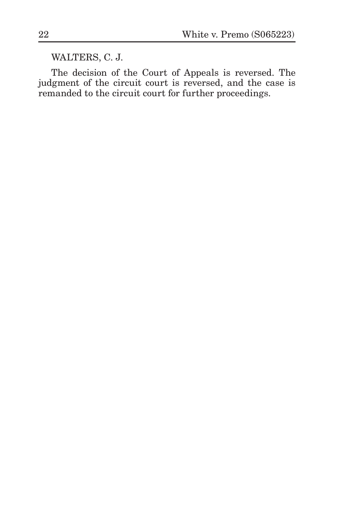WALTERS, C. J.

The decision of the Court of Appeals is reversed. The judgment of the circuit court is reversed, and the case is remanded to the circuit court for further proceedings.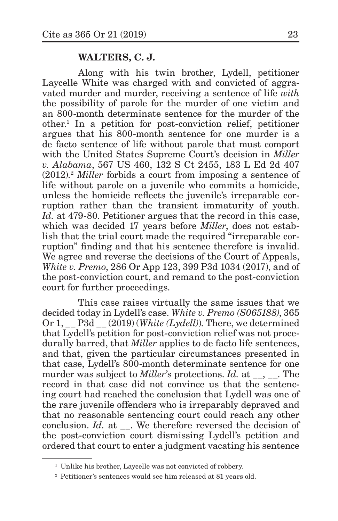## **WALTERS, C. J.**

Along with his twin brother, Lydell, petitioner Laycelle White was charged with and convicted of aggravated murder and murder, receiving a sentence of life *with* the possibility of parole for the murder of one victim and an 800-month determinate sentence for the murder of the other.1 In a petition for post-conviction relief, petitioner argues that his 800-month sentence for one murder is a de facto sentence of life without parole that must comport with the United States Supreme Court's decision in *Miller v. Alabama*, 567 US 460, 132 S Ct 2455, 183 L Ed 2d 407 (2012).2 *Miller* forbids a court from imposing a sentence of life without parole on a juvenile who commits a homicide, unless the homicide reflects the juvenile's irreparable corruption rather than the transient immaturity of youth. *Id.* at 479-80. Petitioner argues that the record in this case, which was decided 17 years before *Miller*, does not establish that the trial court made the required "irreparable corruption" finding and that his sentence therefore is invalid. We agree and reverse the decisions of the Court of Appeals. *White v. Premo*, 286 Or App 123, 399 P3d 1034 (2017), and of the post-conviction court, and remand to the post-conviction court for further proceedings.

This case raises virtually the same issues that we decided today in Lydell's case. *White v. Premo (S065188)*, 365 Or 1, \_\_ P3d \_\_ (2019) (*White (Lydell)*). There, we determined that Lydell's petition for post-conviction relief was not procedurally barred, that *Miller* applies to de facto life sentences, and that, given the particular circumstances presented in that case, Lydell's 800-month determinate sentence for one murder was subject to *Miller*'s protections. *Id.* at \_, \_\_. The record in that case did not convince us that the sentencing court had reached the conclusion that Lydell was one of the rare juvenile offenders who is irreparably depraved and that no reasonable sentencing court could reach any other conclusion. *Id.* at \_\_. We therefore reversed the decision of the post-conviction court dismissing Lydell's petition and ordered that court to enter a judgment vacating his sentence

<sup>&</sup>lt;sup>1</sup> Unlike his brother, Laycelle was not convicted of robbery.

<sup>2</sup> Petitioner's sentences would see him released at 81 years old.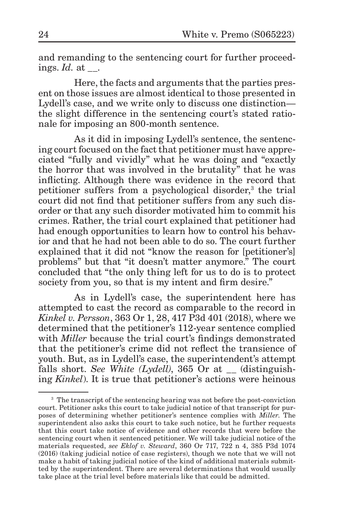and remanding to the sentencing court for further proceedings. *Id.* at .

Here, the facts and arguments that the parties present on those issues are almost identical to those presented in Lydell's case, and we write only to discuss one distinction the slight difference in the sentencing court's stated rationale for imposing an 800-month sentence.

As it did in imposing Lydell's sentence, the sentencing court focused on the fact that petitioner must have appreciated "fully and vividly" what he was doing and "exactly the horror that was involved in the brutality" that he was inflicting. Although there was evidence in the record that petitioner suffers from a psychological disorder,<sup>3</sup> the trial court did not find that petitioner suffers from any such disorder or that any such disorder motivated him to commit his crimes. Rather, the trial court explained that petitioner had had enough opportunities to learn how to control his behavior and that he had not been able to do so. The court further explained that it did not "know the reason for [petitioner's] problems" but that "it doesn't matter anymore." The court concluded that "the only thing left for us to do is to protect society from you, so that is my intent and firm desire."

As in Lydell's case, the superintendent here has attempted to cast the record as comparable to the record in *Kinkel v. Persson*, 363 Or 1, 28, 417 P3d 401 (2018), where we determined that the petitioner's 112-year sentence complied with *Miller* because the trial court's findings demonstrated that the petitioner's crime did not reflect the transience of youth. But, as in Lydell's case, the superintendent's attempt falls short. *See White (Lydell)*, 365 Or at (distinguishing *Kinkel*). It is true that petitioner's actions were heinous

<sup>&</sup>lt;sup>3</sup> The transcript of the sentencing hearing was not before the post-conviction court. Petitioner asks this court to take judicial notice of that transcript for purposes of determining whether petitioner's sentence complies with *Miller*. The superintendent also asks this court to take such notice, but he further requests that this court take notice of evidence and other records that were before the sentencing court when it sentenced petitioner. We will take judicial notice of the materials requested, *see Eklof v. Steward*, 360 Or 717, 722 n 4, 385 P3d 1074 (2016) (taking judicial notice of case registers), though we note that we will not make a habit of taking judicial notice of the kind of additional materials submitted by the superintendent. There are several determinations that would usually take place at the trial level before materials like that could be admitted.